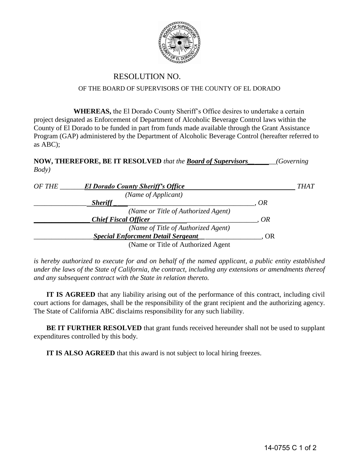

## RESOLUTION NO.

## OF THE BOARD OF SUPERVISORS OF THE COUNTY OF EL DORADO

**WHEREAS,** the El Dorado County Sheriff's Office desires to undertake a certain project designated as Enforcement of Department of Alcoholic Beverage Control laws within the County of El Dorado to be funded in part from funds made available through the Grant Assistance Program (GAP) administered by the Department of Alcoholic Beverage Control (hereafter referred to as ABC);

**NOW, THEREFORE, BE IT RESOLVED** *that the Board of Supervisors\_\_\_\_\_\_\_\_(Governing Body)* 

| OF THE | <b>El Dorado County Sheriff's Office</b>  |    | THAT |
|--------|-------------------------------------------|----|------|
|        | (Name of Applicant)                       |    |      |
|        | <b>Sheriff</b>                            | OR |      |
|        | (Name or Title of Authorized Agent)       |    |      |
|        | <b>Chief Fiscal Officer</b>               | OR |      |
|        | (Name of Title of Authorized Agent)       |    |      |
|        | <b>Special Enforcment Detail Sergeant</b> | OR |      |
|        | (Name or Title of Authorized Agent)       |    |      |

*is hereby authorized to execute for and on behalf of the named applicant, a public entity established under the laws of the State of California, the contract, including any extensions or amendments thereof and any subsequent contract with the State in relation thereto.* 

**IT IS AGREED** that any liability arising out of the performance of this contract, including civil court actions for damages, shall be the responsibility of the grant recipient and the authorizing agency. The State of California ABC disclaims responsibility for any such liability.

**BE IT FURTHER RESOLVED** that grant funds received hereunder shall not be used to supplant expenditures controlled by this body.

 **IT IS ALSO AGREED** that this award is not subject to local hiring freezes.